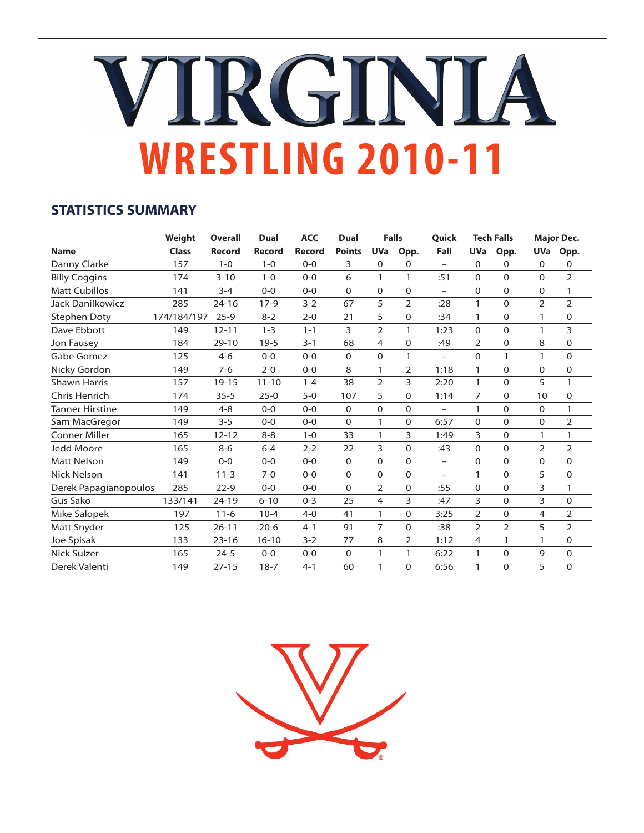# VIRGINIA **WRESTLING 2010-11**

## **STATISTICS SUMMARY**

|                       | Weight       | <b>Overall</b> | <b>Dual</b>   | <b>ACC</b>    | Dual          |                | <b>Falls</b>   | Quick                    |                | <b>Tech Falls</b> |                | <b>Major Dec.</b> |
|-----------------------|--------------|----------------|---------------|---------------|---------------|----------------|----------------|--------------------------|----------------|-------------------|----------------|-------------------|
| <b>Name</b>           | <b>Class</b> | <b>Record</b>  | <b>Record</b> | <b>Record</b> | <b>Points</b> | <b>UVa</b>     | Opp.           | Fall                     | <b>UVa</b>     | Opp.              | <b>UVa</b>     | Opp.              |
| Danny Clarke          | 157          | $1 - 0$        | $1 - 0$       | $0 - 0$       | 3             | $\Omega$       | 0              | $\overline{\phantom{0}}$ | $\Omega$       | $\Omega$          | $\Omega$       | 0                 |
| <b>Billy Coggins</b>  | 174          | $3 - 10$       | $1 - 0$       | $0 - 0$       | 6             | 1              | 1              | :51                      | 0              | $\Omega$          | $\Omega$       | $\overline{2}$    |
| <b>Matt Cubillos</b>  | 141          | $3 - 4$        | $0 - 0$       | $0 - 0$       | $\Omega$      | $\Omega$       | $\Omega$       | $\overline{\phantom{0}}$ | 0              | $\mathbf 0$       | 0              | 1                 |
| Jack Danilkowicz      | 285          | $24 - 16$      | $17-9$        | $3 - 2$       | 67            | 5              | $\overline{2}$ | :28                      | 1              | $\mathbf 0$       | $\overline{2}$ | $\overline{2}$    |
| <b>Stephen Doty</b>   | 174/184/197  | $25 - 9$       | $8 - 2$       | $2 - 0$       | 21            | 5              | $\Omega$       | :34                      | 1              | $\Omega$          | 1              | $\Omega$          |
| Dave Ebbott           | 149          | $12 - 11$      | $1 - 3$       | $1 - 1$       | 3             | $\overline{2}$ | 1              | 1:23                     | $\mathbf 0$    | $\mathbf 0$       | $\mathbf{1}$   | 3                 |
| Jon Fausey            | 184          | $29 - 10$      | $19 - 5$      | $3 - 1$       | 68            | 4              | $\Omega$       | :49                      | 2              | $\Omega$          | 8              | 0                 |
| Gabe Gomez            | 125          | $4 - 6$        | $O - O$       | $0 - 0$       | 0             | $\Omega$       | 1              | $\equiv$                 | $\Omega$       | 1                 | 1              | $\Omega$          |
| Nicky Gordon          | 149          | $7 - 6$        | $2 - 0$       | $0 - 0$       | 8             | 1              | $\overline{2}$ | 1:18                     | $\mathbf{1}$   | $\Omega$          | $\Omega$       | 0                 |
| <b>Shawn Harris</b>   | 157          | $19 - 15$      | $11 - 10$     | $1 - 4$       | 38            | $\overline{2}$ | 3              | 2:20                     | 1              | $\mathbf 0$       | 5              | 1                 |
| Chris Henrich         | 174          | $35 - 5$       | $25 - 0$      | $5-0$         | 107           | 5              | 0              | 1:14                     | 7              | $\mathbf 0$       | 10             | 0                 |
| Tanner Hirstine       | 149          | $4 - 8$        | $O - O$       | $O - O$       | 0             | $\Omega$       | $\Omega$       | $\overline{\phantom{0}}$ | 1              | $\Omega$          | 0              | 1                 |
| Sam MacGregor         | 149          | $3 - 5$        | $0 - 0$       | $0 - 0$       | 0             | 1              | 0              | 6:57                     | $\mathbf 0$    | $\mathbf 0$       | 0              | 2                 |
| <b>Conner Miller</b>  | 165          | $12 - 12$      | $8 - 8$       | $1 - 0$       | 33            | 1              | 3              | 1:49                     | 3              | $\Omega$          | 1              | 1                 |
| Jedd Moore            | 165          | $8 - 6$        | $6 - 4$       | $2 - 2$       | 22            | 3              | $\Omega$       | :43                      | $\Omega$       | $\Omega$          | $\overline{2}$ | $\overline{2}$    |
| <b>Matt Nelson</b>    | 149          | $0 - 0$        | $0 - 0$       | $0 - 0$       | $\Omega$      | $\Omega$       | $\Omega$       | $\overline{\phantom{0}}$ | 0              | $\Omega$          | 0              | $\Omega$          |
| <b>Nick Nelson</b>    | 141          | $11 - 3$       | $7 - 0$       | $0 - 0$       | $\Omega$      | $\Omega$       | $\Omega$       | $\overline{\phantom{0}}$ | 1              | $\Omega$          | 5              | 0                 |
| Derek Papagianopoulos | 285          | $22 - 9$       | $0 - 0$       | $0 - 0$       | $\mathbf 0$   | $\overline{2}$ | 0              | :55                      | 0              | $\mathbf 0$       | 3              | 1                 |
| <b>Gus Sako</b>       | 133/141      | $24 - 19$      | $6 - 10$      | $0 - 3$       | 25            | $\overline{4}$ | 3              | :47                      | 3              | $\Omega$          | 3              | 0                 |
| Mike Salopek          | 197          | $11 - 6$       | $10 - 4$      | $4 - 0$       | 41            | 1              | $\Omega$       | 3:25                     | $\overline{2}$ | $\Omega$          | 4              | $\overline{2}$    |
| Matt Snyder           | 125          | $26 - 11$      | $20 - 6$      | $4 - 1$       | 91            | $\overline{7}$ | 0              | :38                      | 2              | $\overline{2}$    | 5              | 2                 |
| Joe Spisak            | 133          | $23 - 16$      | $16 - 10$     | $3 - 2$       | 77            | 8              | $\overline{2}$ | 1:12                     | 4              | 1                 | 1              | 0                 |
| Nick Sulzer           | 165          | $24 - 5$       | $0 - 0$       | $0 - 0$       | 0             | 1              | 1              | 6:22                     | 1              | $\mathbf 0$       | 9              | 0                 |
| Derek Valenti         | 149          | $27 - 15$      | $18 - 7$      | $4 - 1$       | 60            | 1              | $\Omega$       | 6:56                     | 1              | $\Omega$          | 5              | $\Omega$          |

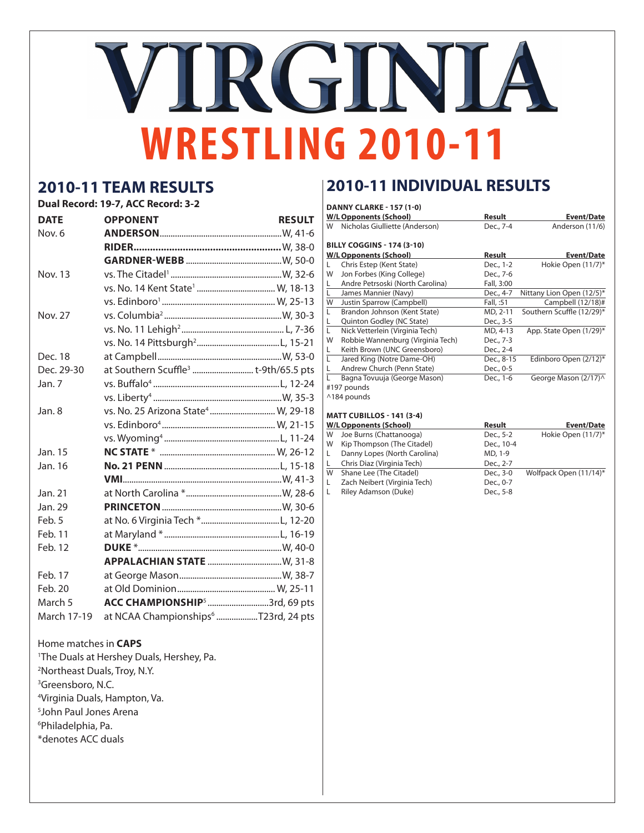# VIRGINIA **WRESTLING 2010-11**

## **2010-11 TEAM RESULTS**

|  |  | Dual Record: 19-7, ACC Record: 3-2 |  |
|--|--|------------------------------------|--|
|  |  |                                    |  |

| <b>DATE</b>    | <b>OPPONENT</b>                                  | <b>RESULT</b> |
|----------------|--------------------------------------------------|---------------|
| Nov. 6         |                                                  |               |
|                |                                                  |               |
|                |                                                  |               |
| <b>Nov. 13</b> |                                                  |               |
|                |                                                  |               |
|                |                                                  |               |
| <b>Nov. 27</b> |                                                  |               |
|                |                                                  |               |
|                |                                                  |               |
| Dec. 18        |                                                  |               |
| Dec. 29-30     | at Southern Scuffle <sup>3</sup> t-9th/65.5 pts  |               |
| Jan. 7         |                                                  |               |
|                |                                                  |               |
| Jan. 8         | vs. No. 25 Arizona State <sup>4</sup> W, 29-18   |               |
|                |                                                  |               |
|                |                                                  |               |
| Jan. 15        |                                                  |               |
| Jan. 16        |                                                  |               |
|                |                                                  |               |
| Jan. 21        |                                                  |               |
| Jan. 29        |                                                  |               |
| Feb. 5         |                                                  |               |
| Feb. 11        |                                                  |               |
| Feb. 12        |                                                  |               |
|                |                                                  |               |
| Feb. 17        |                                                  |               |
| Feb. 20        |                                                  |               |
| March 5        | ACC CHAMPIONSHIP <sup>5</sup> 3rd, 69 pts        |               |
| March 17-19    | at NCAA Championships <sup>6</sup> T23rd, 24 pts |               |

### Home matches in **CAPS**

| <sup>1</sup> The Duals at Hershey Duals, Hershey, Pa. |
|-------------------------------------------------------|
| <sup>2</sup> Northeast Duals, Troy, N.Y.              |
| <sup>3</sup> Greensboro, N.C.                         |
| <sup>4</sup> Virginia Duals, Hampton, Va.             |
| <sup>5</sup> John Paul Jones Arena                    |
| <sup>6</sup> Philadelphia, Pa.                        |
| *denotes ACC duals                                    |

## **2010-11 INDIVIDUAL RESULTS**

|                         | <b>DANNY CLARKE - 157 (1-0)</b><br><b>W/L Opponents (School)</b> | Result     | <b>Event/Date</b>         |
|-------------------------|------------------------------------------------------------------|------------|---------------------------|
| W                       | Nicholas Giulliette (Anderson)                                   | Dec., 7-4  | Anderson (11/6)           |
|                         | <b>BILLY COGGINS - 174 (3-10)</b>                                |            |                           |
|                         | <b>W/L Opponents (School)</b>                                    | Result     | <b>Event/Date</b>         |
| L                       | Chris Estep (Kent State)                                         | Dec., 1-2  | Hokie Open (11/7)*        |
| W                       | Jon Forbes (King College)                                        | Dec., 7-6  |                           |
| L.                      | Andre Petrsoski (North Carolina)                                 | Fall, 3:00 |                           |
| L                       | James Mannier (Navy)                                             | Dec., 4-7  | Nittany Lion Open (12/5)* |
| W                       | Justin Sparrow (Campbell)                                        | Fall, :51  | Campbell (12/18)#         |
|                         | Brandon Johnson (Kent State)                                     | MD, 2-11   | Southern Scuffle (12/29)* |
| L.                      | Quinton Godley (NC State)                                        | Dec., 3-5  |                           |
| L.                      | Nick Vetterlein (Virginia Tech)                                  | MD, 4-13   | App. State Open (1/29)*   |
| W                       | Robbie Wannenburg (Virginia Tech)                                | Dec., 7-3  |                           |
| L                       | Keith Brown (UNC Greensboro)                                     | Dec., 2-4  |                           |
| L                       | Jared King (Notre Dame-OH)                                       | Dec., 8-15 | Edinboro Open (2/12)*     |
| L                       | Andrew Church (Penn State)                                       | Dec., 0-5  |                           |
| L                       | Bagna Tovuuja (George Mason)                                     | Dec., 1-6  | George Mason (2/17)^      |
|                         | #197 pounds                                                      |            |                           |
|                         | ^184 pounds                                                      |            |                           |
|                         |                                                                  |            |                           |
|                         | <b>MATT CUBILLOS - 141 (3-4)</b>                                 |            |                           |
|                         | <b>W/L Opponents (School)</b>                                    | Result     | <b>Event/Date</b>         |
| W                       | Joe Burns (Chattanooga)                                          | Dec., 5-2  | Hokie Open (11/7)*        |
| W                       |                                                                  | Dec., 10-4 |                           |
|                         | Kip Thompson (The Citadel)                                       |            |                           |
|                         | Danny Lopes (North Carolina)                                     | MD, 1-9    |                           |
|                         | Chris Diaz (Virginia Tech)                                       | Dec., 2-7  |                           |
|                         | Shane Lee (The Citadel)                                          | Dec., 3-0  | Wolfpack Open (11/14)*    |
|                         | Zach Neibert (Virginia Tech)                                     | Dec., 0-7  |                           |
|                         | Riley Adamson (Duke)                                             | Dec., 5-8  |                           |
|                         |                                                                  |            |                           |
|                         |                                                                  |            |                           |
|                         |                                                                  |            |                           |
|                         |                                                                  |            |                           |
|                         |                                                                  |            |                           |
|                         |                                                                  |            |                           |
|                         |                                                                  |            |                           |
|                         |                                                                  |            |                           |
| L.<br>L.<br>W<br>L<br>L |                                                                  |            |                           |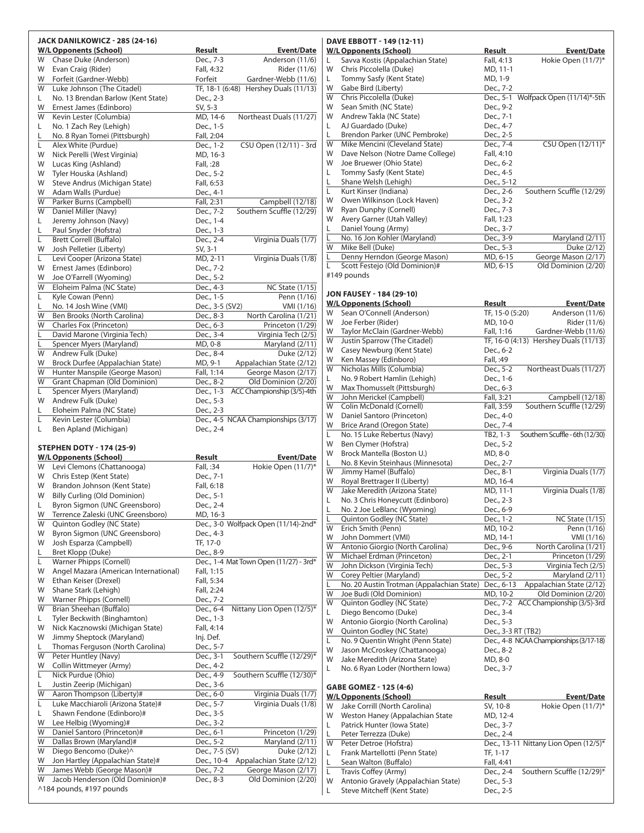|        | JACK DANILKOWICZ - 285 (24-16)                                     |                            |                                                 |
|--------|--------------------------------------------------------------------|----------------------------|-------------------------------------------------|
|        | <b>W/L Opponents (School)</b>                                      | Result                     | <b>Event/Date</b>                               |
| W      | Chase Duke (Anderson)                                              | Dec., 7-3                  | Anderson (11/6)                                 |
| W<br>W | Evan Craig (Rider)<br>Forfeit (Gardner-Webb)                       | Fall, 4:32<br>Forfeit      | Rider (11/6)<br>Gardner-Webb (11/6)             |
| W      | Luke Johnson (The Citadel)                                         |                            | TF, 18-1 (6:48) Hershey Duals (11/13)           |
| L.     | No. 13 Brendan Barlow (Kent State)                                 | Dec., 2-3                  |                                                 |
| W      | Ernest James (Edinboro)                                            | SV, 5-3                    |                                                 |
| W      | Kevin Lester (Columbia)                                            | MD, 14-6                   | Northeast Duals (11/27)                         |
| L.     | No. 1 Zach Rey (Lehigh)                                            | Dec., 1-5                  |                                                 |
| L      | No. 8 Ryan Tomei (Pittsburgh)<br>Alex White (Purdue)               | Fall, 2:04<br>Dec., 1-2    |                                                 |
| Г<br>W | Nick Perelli (West Virginia)                                       | MD, 16-3                   | CSU Open (12/11) - 3rd                          |
| W      | Lucas King (Ashland)                                               | Fall, :28                  |                                                 |
| W      | Tyler Houska (Ashland)                                             | Dec., 5-2                  |                                                 |
| W      | Steve Andrus (Michigan State)                                      | Fall, 6:53                 |                                                 |
| W      | Adam Walls (Purdue)                                                | Dec., 4-1                  |                                                 |
| W      | Parker Burns (Campbell)                                            | Fall, 2:31                 | Campbell (12/18)                                |
| W<br>L | Daniel Miller (Navy)<br>Jeremy Johnson (Navy)                      | Dec., 7-2<br>Dec., 1-4     | Southern Scuffle (12/29)                        |
| L      | Paul Snyder (Hofstra)                                              | Dec., 1-3                  |                                                 |
| Г      | <b>Brett Correll (Buffalo)</b>                                     | Dec., 2-4                  | Virginia Duals (1/7)                            |
| W      | Josh Pelletier (Liberty)                                           | SV, 3-1                    |                                                 |
| L      | Levi Cooper (Arizona State)                                        | MD, 2-11                   | Virginia Duals (1/8)                            |
| W      | Ernest James (Edinboro)                                            | Dec., 7-2                  |                                                 |
| W      | Joe O'Farrell (Wyoming)                                            | Dec., 5-2                  |                                                 |
| W<br>L | Eloheim Palma (NC State)<br>Kyle Cowan (Penn)                      | Dec., 4-3<br>Dec., 1-5     | <b>NC State (1/15)</b><br>Penn (1/16)           |
| L      | No. 14 Josh Wine (VMI)                                             | Dec., 3-5 (SV2)            | VMI (1/16)                                      |
| W      | Ben Brooks (North Carolina)                                        | Dec., 8-3                  | North Carolina (1/21)                           |
| W      | Charles Fox (Princeton)                                            | Dec., 6-3                  | Princeton (1/29)                                |
| Г      | David Marone (Virginia Tech)                                       | Dec., 3-4                  | Virginia Tech (2/5)                             |
| Г      | Spencer Myers (Maryland)                                           | MD, 0-8                    | Maryland (2/11)                                 |
| W      | Andrew Fulk (Duke)                                                 | Dec., 8-4                  | Duke (2/12)                                     |
| W      | Brock Durfee (Appalachian State)<br>Hunter Manspile (George Mason) | MD, 9-1                    | Appalachian State (2/12)                        |
| W<br>W | Grant Chapman (Old Dominion)                                       | Fall, 1:14<br>Dec., 8-2    | George Mason (2/17)<br>Old Dominion (2/20)      |
| L      | Spencer Myers (Maryland)                                           | Dec., 1-3                  | ACC Championship (3/5)-4th                      |
| W      | Andrew Fulk (Duke)                                                 | Dec., 5-3                  |                                                 |
| L.     | Eloheim Palma (NC State)                                           | Dec., 2-3                  |                                                 |
| Г      | Kevin Lester (Columbia)                                            |                            | Dec., 4-5 NCAA Championships (3/17)             |
| L      | Ben Apland (Michigan)                                              | Dec., 2-4                  |                                                 |
|        |                                                                    |                            |                                                 |
|        |                                                                    |                            |                                                 |
|        | STEPHEN DOTY - 174 (25-9)                                          |                            |                                                 |
| W      | <b>W/L Opponents (School)</b><br>Levi Clemons (Chattanooga)        | <b>Result</b><br>Fall, :34 | Event/Date<br>Hokie Open (11/7)*                |
| W      | Chris Estep (Kent State)                                           | Dec., 7-1                  |                                                 |
| W      | Brandon Johnson (Kent State)                                       | Fall, 6:18                 |                                                 |
| W      | <b>Billy Curling (Old Dominion)</b>                                | Dec., 5-1                  |                                                 |
| L      | Byron Sigmon (UNC Greensboro)                                      | Dec., 2-4                  |                                                 |
| W      | Terrence Zaleski (UNC Greensboro)                                  | MD, 16-3                   |                                                 |
| W      | Quinton Godley (NC State)<br>Byron Sigmon (UNC Greensboro)         |                            | Dec., 3-0 Wolfpack Open (11/14)-2nd*            |
| W<br>W | Josh Esparza (Campbell)                                            | Dec., 4-3<br>TF, 17-0      |                                                 |
| L      | Bret Klopp (Duke)                                                  | Dec., 8-9                  |                                                 |
| L      | Warner Phipps (Cornell)                                            |                            | Dec., 1-4 Mat Town Open (11/27) - 3rd*          |
| W      | Angel Mazara (American International)                              | Fall, 1:15                 |                                                 |
| W      | Ethan Keiser (Drexel)                                              | Fall, 5:34                 |                                                 |
| W      | Shane Stark (Lehigh)                                               | Fall, 2:24                 |                                                 |
| W      | Warner Phipps (Cornell)                                            | Dec., 7-2                  |                                                 |
| W<br>L | Brian Sheehan (Buffalo)<br>Tyler Beckwith (Binghamton)             | Dec., 6-4<br>Dec., 1-3     | Nittany Lion Open (12/5)*                       |
| W      | Nick Kacznowski (Michigan State)                                   | Fall, 4:14                 |                                                 |
| W      | Jimmy Sheptock (Maryland)                                          | lnj. Def.                  |                                                 |
| L      | Thomas Ferguson (North Carolina)                                   | Dec., 5-7                  |                                                 |
| W      | Peter Huntley (Navy)                                               | Dec., 3-1                  | Southern Scuffle (12/29)*                       |
| W      | Collin Wittmeyer (Army)                                            | Dec., 4-2                  |                                                 |
| L      | Nick Purdue (Ohio)                                                 | Dec., 4-9                  | Southern Scuffle (12/30)*                       |
| L<br>W | Justin Zeerip (Michigan)<br>Aaron Thompson (Liberty)#              | Dec., 3-6<br>Dec., 6-0     | Virginia Duals (1/7)                            |
| Г      | Luke Macchiaroli (Arizona State)#                                  | Dec., 5-7                  | Virginia Duals (1/8)                            |
| L      | Shawn Fendone (Edinboro)#                                          | Dec., 3-5                  |                                                 |
| W      | Lee Helbig (Wyoming)#                                              | Dec., 3-2                  |                                                 |
| W      | Daniel Santoro (Princeton)#                                        | Dec., 6-1                  | Princeton (1/29)                                |
| W      | Dallas Brown (Maryland)#                                           | Dec., 5-2                  | $\overline{\text{Maryland } (2/11)}$            |
| W      | Diego Bencomo (Duke)^                                              | Dec., 7-5 (SV)             | Duke (2/12)                                     |
| W<br>W | Jon Hartley (Appalachian State)#<br>James Webb (George Mason)#     | Dec., 10-4<br>Dec., 7-2    | Appalachian State (2/12)<br>George Mason (2/17) |
| W      | Jacob Henderson (Old Dominion)#<br>^184 pounds, #197 pounds        | Dec., 8-3                  | Old Dominion (2/20)                             |

#### **dave ebbott - 149 (12-11) W/LOpponents (School) Result Event/Date** L Savva Kostis (Appalachian State) Fall, 4:13 Hokie Open (11/7)\* W Chris Piccolella (Duke) MD, 11-1<br>L Tommy Sasfy (Kent State) MD, 1-9 L Tommy Sasfy (Kent State) W Gabe Bird (Liberty) Dec., 7-2<br>W Chris Piccolella (Duke) Dec., 5-1 Dec., 5-1 Wolfpack Open (11/14)\*-5th W Sean Smith (NC State) Dec., 9-2<br>W Andrew Takla (NC State) Dec., 7-1 W Andrew Takla (NC State) L AJ Guardado (Duke) Dec., 4-7 Brendon Parker (UNC Pembroke) Dec., 2-5<br>
Mike Mencini (Cleveland State) Dec., 7-4 W Mike Mencini (Cleveland State) Dec., 7-4 CSU Open  $(12/11)^*$ <br>W Dave Nelson (Notre Dame College) Fall. 4:10 W Dave Nelson (Notre Dame College) W Joe Bruewer (Ohio State) Dec., 6-2<br>
L Tommy Sasfy (Kent State) Dec., 4-5 L Tommy Sasfy (Kent State) Dec., 4-5<br>
L Shane Welsh (Lehigh) Dec., 5-12 L Shane Welsh (Lehigh) L Kurt Kinser (Indiana) Dec., 2-6 Southern Scuffle (12/29) W Owen Wilkinson (Lock Haven) Dec., 3-2 W Ryan Dunphy (Cornell) Dec., 7-3<br>W Avery Garner (Utah Valley) Ball, 1:23 W Avery Garner (Utah Valley) L Daniel Young (Army) Dec., 3-7<br>L No. 16 Jon Kohler (Maryland) Dec., 3-9 L No. 16 Jon Kohler (Maryland) Dec., 3-9 Maryland (2/11)<br>W Mike Bell (Duke) Dec., 5-3 Duke (2/12) **Mike Bell (Duke)** Denny Herndon (George Mason) MD, 6-15 George Mason (2/17) Scott Festejo (Old Dominion)# MD, 6-15 Old Dominion (2/20) #149 pounds **jon fausey - 184 (29-10) W/LOpponents (School) Result Event/Date** W Sean O'Connell (Anderson) TF, 15-0 (5:20) Anderson (11/6)<br>W Joe Ferber (Rider) MD, 10-0 Rider (11/6) W Joe Ferber (Rider) MD, 10-0 Rider (11/6)<br>W Taylor McClain (Gardner-Webb) Fall, 1:16 Gardner-Webb (11/6) W Taylor McClain (Gardner-Webb) Fall, 1:16 W Justin Sparrow (The Citadel) TF, 16-0 (4:13) Hershey Duals (11/13) W Casey Newburg (Kent State) Dec., 6-2 W Ken Massey (Edinboro) Fall, :49<br>W Nicholas Mills (Columbia) Dec., 5-2 W Nicholas Mills (Columbia) Dec., 5-2 Northeast Duals (11/27) L No. 9 Robert Hamlin (Lehigh) Dec., 1-6 W Max Thomusselt (Pittsburgh) Dec., 6-3<br>
W John Merickel (Campbell) Fall, 3:21 John Merickel (Campbell) Fall, 3:21 Campbell (12/18) W Colin McDonald (Cornell) Fall, 3:59 Southern Scuffle (12/29) W Daniel Santoro (Princeton) Dec., 4-0  $\frac{W}{L}$  Brice Arand (Oregon State) Dec., 7-4<br>
Dec., 7-4<br>
Dec., 7-4<br>
Dec., 7-4<br>
Dec., 7-4 L No. 15 Luke Rebertus (Navy) TB2, 1-3 Southern Scuffle - 6th (12/30) W Ben Clymer (Hofstra) Dec., 5-2<br>
W Brock Mantella (Boston U.) MD, 8-0 W Brock Mantella (Boston U.) L No. 8 Kevin Steinhaus (Minnesota) Dec., 2-7 W Jimmy Hamel (Buffalo) Dec., 8-1 Virginia Duals (1/7)<br>W Royal Brettrager II (Liberty) MD. 16-4 Royal Brettrager II (Liberty) MD, 16-4 W Jake Meredith (Arizona State) MD, 11-1 Virginia Duals (1/8) L No. 3 Chris Honeycutt (Edinboro) Dec., 2-3<br>
L No. 2 Joe LeBlanc (Wyoming) Dec.. 6-9 No. 2 Joe LeBlanc (Wyoming) Dec., 6-9<br>Quinton Godley (NC State) Dec., 1-2 Quinton Godley (NC State)<br>
Erich Smith (Penn)<br>
MD, 10-2 Penn (1/16) W Erich Smith (Penn) MD, 10-2 Penn (1/16)<br>W John Dommert (VMI) MD, 14-1 VMI (1/16) W John Dommert (VMI) MD, 14-1 Antonio Giorgio (North Carolina) Dec., 9-6 North Carolina (1/21) W Michael Erdman (Princeton) Dec., 2-1 Princeton (1/29) W John Dickson (Virginia Tech) Dec., 5-3 Virginia Tech (2/5) W Corey Peltier (Maryland) Dec., 5-2 Maryland (2/11) L No. 20 Austin Trotman (Appalachian State) Dec., 6-13 Appalachian State (2/12) W Joe Budi (Old Dominion) MD, 10-2 Old Dominion (2/20)<br>W Quinton Godley (NC State) Dec., 7-2 ACC Championship (3/5)-3rd W Quinton Godley (NC State) Dec., 7-2 ACC Championship (3/5)-3rd L Diego Bencomo (Duke) Dec., 3-4 W Antonio Giorgio (North Carolina) Dec., 5-3<br>
W Quinton Godley (NC State) Dec., 3-3 RT (TB2) W Quinton Godley (NC State) L No. 9 Quentin Wright (Penn State) Dec., 4-8 NCAA Championships (3/17-18) W Jason McCroskey (Chattanooga) Dec., 8-2<br>W Jake Meredith (Arizona State) MD. 8-0 W Jake Meredith (Arizona State) L No. 6 Ryan Loder (Northern Iowa) Dec., 3-7 **gabe gomez - 125 (4-6) W/LOpponents (School) Result Event/Date**<br>
W Jake Corrill (North Carolina) **Event** SV, 10-8 **Hokie Open** (11/7)\* W Jake Corrill (North Carolina) SV, 10-8 W Weston Haney (Appalachian State MD, 12-4 Patrick Hunter (Iowa State) Dec., 3-7 Peter Terrezza (Duke) Dec., 2-4 W Peter Detroe (Hofstra) Dec., 13-11 Nittany Lion Open (12/5)\*<br>
L Frank Martellotti (Penn State) TF, 1-17 L Frank Martellotti (Penn State) Sean Walton (Buffalo) Fall, 4:41 L Travis Coffey (Army) Dec., 2-4 Southern Scuffle (12/29)<sup>\*</sup> W Antonio Gravely (Appalachian State) Dec., 5-3

L Steve Mitcheff (Kent State) Dec., 2-5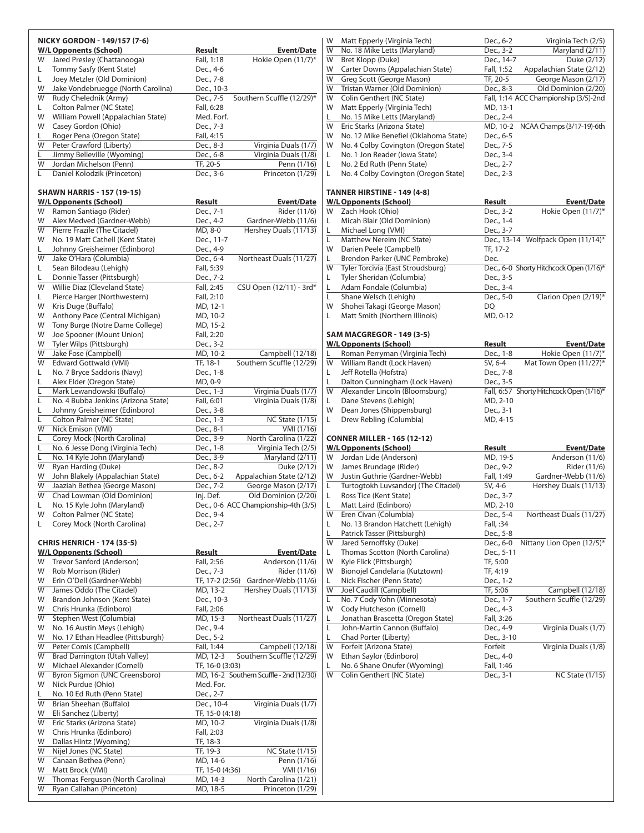|         | NICKY GORDON - 149/157 (7-6)                                    |                             |                                              |
|---------|-----------------------------------------------------------------|-----------------------------|----------------------------------------------|
|         | <b>W/L Opponents (School)</b>                                   | <u>Result</u>               | <b>Event/Date</b>                            |
| W       | Jared Presley (Chattanooga)                                     | Fall, 1:18                  | Hokie Open (11/7)*                           |
| L.<br>Г | Tommy Sasfy (Kent State)<br>Joey Metzler (Old Dominion)         | Dec., 4-6<br>Dec., 7-8      |                                              |
| W       | Jake Vondebruegge (North Carolina)                              | Dec., 10-3                  |                                              |
| W       | Rudy Chelednik (Army)                                           | Dec., 7-5                   | Southern Scuffle (12/29)*                    |
| L.      | Colton Palmer (NC State)                                        | Fall, 6:28                  |                                              |
| W       | William Powell (Appalachian State)                              | Med. Forf.                  |                                              |
| W       | Casey Gordon (Ohio)                                             | Dec., 7-3                   |                                              |
| L       | Roger Pena (Oregon State)                                       | Fall, 4:15                  |                                              |
| W<br>Г  | Peter Crawford (Liberty)<br>Jimmy Belleville (Wyoming)          | Dec., 8-3<br>Dec., 6-8      | Virginia Duals (1/7)<br>Virginia Duals (1/8) |
| W       | Jordan Michelson (Penn)                                         | TF, 20-5                    | Penn (1/16)                                  |
| Г       | Daniel Kolodzik (Princeton)                                     | Dec., 3-6                   | Princeton (1/29)                             |
|         |                                                                 |                             |                                              |
|         | <b>SHAWN HARRIS - 157 (19-15)</b>                               |                             |                                              |
|         | <b>W/L Opponents (School)</b>                                   | Result                      | <b>Event/Date</b>                            |
| W<br>W  | Ramon Santiago (Rider)<br>Alex Medved (Gardner-Webb)            | Dec., 7-1<br>Dec., 4-2      | Rider (11/6)<br>Gardner-Webb (11/6)          |
| W       | Pierre Frazile (The Citadel)                                    | MD, 8-0                     | Hershey Duals (11/13)                        |
| W       | No. 19 Matt Cathell (Kent State)                                | Dec., 11-7                  |                                              |
| L       | Johnny Greisheimer (Edinboro)                                   | Dec., 4-9                   |                                              |
| W       | Jake O'Hara (Columbia)                                          | Dec., 6-4                   | Northeast Duals (11/27)                      |
| Г       | Sean Bilodeau (Lehigh)                                          | Fall, 5:39                  |                                              |
| L       | Donnie Tasser (Pittsburgh)                                      | Dec., 7-2                   |                                              |
| W       | Willie Diaz (Cleveland State)                                   | Fall, 2:45                  | CSU Open (12/11) - 3rd*                      |
| L.<br>W | Pierce Harger (Northwestern)<br>Kris Duge (Buffalo)             | Fall, 2:10<br>MD, 12-1      |                                              |
| W       | Anthony Pace (Central Michigan)                                 | MD, 10-2                    |                                              |
| W       | Tony Burge (Notre Dame College)                                 | MD, 15-2                    |                                              |
| W       | Joe Spooner (Mount Union)                                       | Fall, 2:20                  |                                              |
| W       | Tyler Wilps (Pittsburgh)                                        | Dec., 3-2                   |                                              |
| W       | Jake Fose (Campbell)                                            | MD, 10-2                    | Campbell (12/18)                             |
| W       | Edward Gottwald (VMI)                                           | TF, 18-1                    | Southern Scuffle (12/29)                     |
| L<br>L  | No. 7 Bryce Saddoris (Navy)<br>Alex Elder (Oregon State)        | Dec., 1-8                   |                                              |
| Г       | Mark Lewandowski (Buffalo)                                      | MD, 0-9<br>Dec., 1-3        | Virginia Duals (1/7)                         |
| L       | No. 4 Bubba Jenkins (Arizona State)                             | Fall, 6:01                  | Virginia Duals (1/8)                         |
| L       | Johnny Greisheimer (Edinboro)                                   | Dec., 3-8                   |                                              |
| Г       | Colton Palmer (NC State)                                        | Dec., 1-3                   | <b>NC State (1/15)</b>                       |
| W       | Nick Emison (VMI)                                               | Dec., 8-1                   | VMI (1/16)                                   |
| Г       | Corey Mock (North Carolina)                                     | Dec., 3-9                   | North Carolina (1/22)                        |
| Г<br>Г  | No. 6 Jesse Dong (Virginia Tech)<br>No. 14 Kyle John (Maryland) | Dec., 1-8<br>Dec., 3-9      | Virginia Tech (2/5)<br>Maryland (2/11)       |
| W       | Ryan Harding (Duke)                                             | Dec., 8-2                   | Duke (2/12)                                  |
| W       | John Blakely (Appalachian State)                                | Dec., 6-2                   | Appalachian State (2/12)                     |
| W       | Jaaziah Bethea (George Mason)                                   | Dec., 7-2                   | George Mason (2/17)                          |
| W       | Chad Lowman (Old Dominion)                                      | Inj. Def.                   | Old Dominion (2/20)                          |
| L       | No. 15 Kyle John (Maryland)                                     |                             | Dec., 0-6 ACC Championship-4th (3/5)         |
| W       | Colton Palmer (NC State)                                        | Dec., 9-4<br>Dec., 2-7      |                                              |
| L.      | Corey Mock (North Carolina)                                     |                             |                                              |
|         | <b>CHRIS HENRICH - 174 (35-5)</b>                               |                             |                                              |
|         | <b>W/L Opponents (School)</b>                                   | Result                      | Event/Date                                   |
| W       | Trevor Sanford (Anderson)                                       | Fall, 2:56                  | Anderson (11/6)                              |
| W       | Rob Morrison (Rider)                                            | Dec., 7-3                   | Rider (11/6)                                 |
| W<br>W  | Erin O'Dell (Gardner-Webb)<br>James Oddo (The Citadel)          | TF, 17-2 (2:56)<br>MD, 13-2 | Gardner-Webb (11/6)<br>Hershey Duals (11/13) |
| W       | Brandon Johnson (Kent State)                                    | Dec., 10-3                  |                                              |
| W       | Chris Hrunka (Edinboro)                                         | Fall, 2:06                  |                                              |
| W       | Stephen West (Columbia)                                         | MD, 15-3                    | Northeast Duals (11/27)                      |
| W       | No. 16 Austin Meys (Lehigh)                                     | Dec., 9-4                   |                                              |
| W       | No. 17 Ethan Headlee (Pittsburgh)                               | Dec., 5-2                   |                                              |
| W       | Peter Comis (Campbell)                                          | Fall, 1:44                  | Campbell (12/18)                             |
| W<br>W  | Brad Darrington (Utah Valley)<br>Michael Alexander (Cornell)    | MD, 12-3                    | Southern Scuffle (12/29)                     |
| W       | Byron Sigmon (UNC Greensboro)                                   | TF, 16-0 (3:03)             | MD, 16-2 Southern Scuffle - 2nd (12/30)      |
| W       | Nick Purdue (Ohio)                                              | Med. For.                   |                                              |
| L       | No. 10 Ed Ruth (Penn State)                                     | Dec., 2-7                   |                                              |
| W       | Brian Sheehan (Buffalo)                                         | Dec., 10-4                  | Virginia Duals (1/7)                         |
| W       | Eli Sanchez (Liberty)                                           | TF, 15-0 (4:18)             |                                              |
| W       | Eric Starks (Arizona State)                                     | MD, 10-2                    | Virginia Duals (1/8)                         |
| W       | Chris Hrunka (Edinboro)                                         | Fall, 2:03                  |                                              |
| W<br>W  | Dallas Hintz (Wyoming)<br>Nijel Jones (NC State)                | TF, 18-3<br>TF, 19-3        | <b>NC State (1/15)</b>                       |
| W       | Canaan Bethea (Penn)                                            | MD, 14-6                    | Penn (1/16)                                  |
| W       | Matt Brock (VMI)                                                | TF, 15-0 (4:36)             | VMI (1/16)                                   |
| W       | Thomas Ferguson (North Carolina)                                | MD, 14-3                    | North Carolina (1/21)                        |
| W       | Ryan Callahan (Princeton)                                       | MD, 18-5                    | Princeton (1/29)                             |

| W | Matt Epperly (Virginia Tech)          | Dec., 6-2  | Virginia Tech (2/5)                   |
|---|---------------------------------------|------------|---------------------------------------|
| W | No. 18 Mike Letts (Maryland)          | Dec., 3-2  | Maryland (2/11)                       |
| W | Bret Klopp (Duke)                     | Dec., 14-7 | Duke (2/12)                           |
| W | Carter Downs (Appalachian State)      | Fall, 1:52 | Appalachian State (2/12)              |
| W | Greg Scott (George Mason)             | TF, 20-5   | George Mason (2/17)                   |
| W | Tristan Warner (Old Dominion)         | Dec., 8-3  | Old Dominion (2/20)                   |
| W | Colin Genthert (NC State)             |            | Fall, 1:14 ACC Championship (3/5)-2nd |
| W | Matt Epperly (Virginia Tech)          | MD, 13-1   |                                       |
| L | No. 15 Mike Letts (Maryland)          | Dec., 2-4  |                                       |
| W | Eric Starks (Arizona State)           | MD, 10-2   | NCAA Champs (3/17-19)-6th             |
| W | No. 12 Mike Benefiel (Oklahoma State) | Dec., 6-5  |                                       |
| W | No. 4 Colby Covington (Oregon State)  | Dec., 7-5  |                                       |
| L | No. 1 Jon Reader (Iowa State)         | Dec., 3-4  |                                       |
| L | No. 2 Ed Ruth (Penn State)            | Dec., 2-7  |                                       |
| L | No. 4 Colby Covington (Oregon State)  | Dec., 2-3  |                                       |
|   |                                       |            |                                       |

### **tanner hirstine - 149 (4-8)**

|    | <b>W/L Opponents (School)</b>     | Result    | <b>Event/Date</b>                       |
|----|-----------------------------------|-----------|-----------------------------------------|
| W  | Zach Hook (Ohio)                  | Dec., 3-2 | Hokie Open (11/7)*                      |
| L  | Micah Blair (Old Dominion)        | Dec., 1-4 |                                         |
| L  | Michael Long (VMI)                | Dec., 3-7 |                                         |
| L. | Matthew Nereim (NC State)         |           | Dec., 13-14 Wolfpack Open (11/14)*      |
| W  | Darien Peele (Campbell)           | TF, 17-2  |                                         |
| L  | Brendon Parker (UNC Pembroke)     | Dec.      |                                         |
| W  | Tyler Torcivia (East Stroudsburg) |           | Dec., 6-0 Shorty Hitchcock Open (1/16)* |
| L  | Tyler Sheridan (Columbia)         | Dec., 3-5 |                                         |
| L  | Adam Fondale (Columbia)           | Dec., 3-4 |                                         |
| L  | Shane Welsch (Lehigh)             | Dec., 5-0 | Clarion Open (2/19)*                    |
| W  | Shohei Takagi (George Mason)      | DO        |                                         |
| L  | Matt Smith (Northern Illinois)    | MD, 0-12  |                                         |
|    |                                   |           |                                         |

#### **sam macgregor - 149 (3-5)**

|    | <b>W/L Opponents (School)</b>  | Result    | <b>Event/Date</b>                        |
|----|--------------------------------|-----------|------------------------------------------|
| L  | Roman Perryman (Virginia Tech) | Dec., 1-8 | Hokie Open (11/7)*                       |
| W  | William Randt (Lock Haven)     | SV, 6-4   | Mat Town Open (11/27)*                   |
| L. | Jeff Rotella (Hofstra)         | Dec., 7-8 |                                          |
| L. | Dalton Cunningham (Lock Haven) | Dec., 3-5 |                                          |
| W  | Alexander Lincoln (Bloomsburg) |           | Fall, 6:57 Shorty Hitchcock Open (1/16)* |
| L. | Dane Stevens (Lehigh)          | MD, 2-10  |                                          |
| W  | Dean Jones (Shippensburg)      | Dec., 3-1 |                                          |
| L  | Drew Rebling (Columbia)        | MD, 4-15  |                                          |

#### **conner miller - 165 (12-12)**

|    | <b>W/L Opponents (School)</b>       | Result     | <b>Event/Date</b>         |
|----|-------------------------------------|------------|---------------------------|
| W  | Jordan Lide (Anderson)              | MD, 19-5   | Anderson (11/6)           |
| W  | James Brundage (Rider)              | Dec., 9-2  | Rider (11/6)              |
| W  | Justin Guthrie (Gardner-Webb)       | Fall, 1:49 | Gardner-Webb (11/6)       |
| L. | Turtogtokh Luvsandorj (The Citadel) | SV, 4-6    | Hershey Duals (11/13)     |
| L  | Ross Tice (Kent State)              | Dec., 3-7  |                           |
| Г  | Matt Laird (Edinboro)               | MD, 2-10   |                           |
| W  | Eren Civan (Columbia)               | Dec., 5-4  | Northeast Duals (11/27)   |
| L  | No. 13 Brandon Hatchett (Lehigh)    | Fall, :34  |                           |
| Г  | Patrick Tasser (Pittsburgh)         | Dec., 5-8  |                           |
| W  | Jared Sernoffsky (Duke)             | Dec., 6-0  | Nittany Lion Open (12/5)* |
| L  | Thomas Scotton (North Carolina)     | Dec., 5-11 |                           |
| W  | Kyle Flick (Pittsburgh)             | TF, 5:00   |                           |
| W  | Bionojel Candelaria (Kutztown)      | TF, 4:19   |                           |
| L  | Nick Fischer (Penn State)           | Dec., 1-2  |                           |
| W  | Joel Caudill (Campbell)             | TF, 5:06   | Campbell (12/18)          |
| L. | No. 7 Cody Yohn (Minnesota)         | Dec., 1-7  | Southern Scuffle (12/29)  |
| W  | Cody Hutcheson (Cornell)            | Dec., 4-3  |                           |
| L  | Jonathan Brascetta (Oregon State)   | Fall, 3:26 |                           |
| L. | John-Martin Cannon (Buffalo)        | Dec., 4-9  | Virginia Duals (1/7)      |
| L  | Chad Porter (Liberty)               | Dec., 3-10 |                           |
| W  | Forfeit (Arizona State)             | Forfeit    | Virginia Duals (1/8)      |
| W  | Ethan Saylor (Edinboro)             | Dec., 4-0  |                           |
| L. | No. 6 Shane Onufer (Wyoming)        | Fall, 1:46 |                           |
| W  | Colin Genthert (NC State)           | Dec., 3-1  | <b>NC State (1/15)</b>    |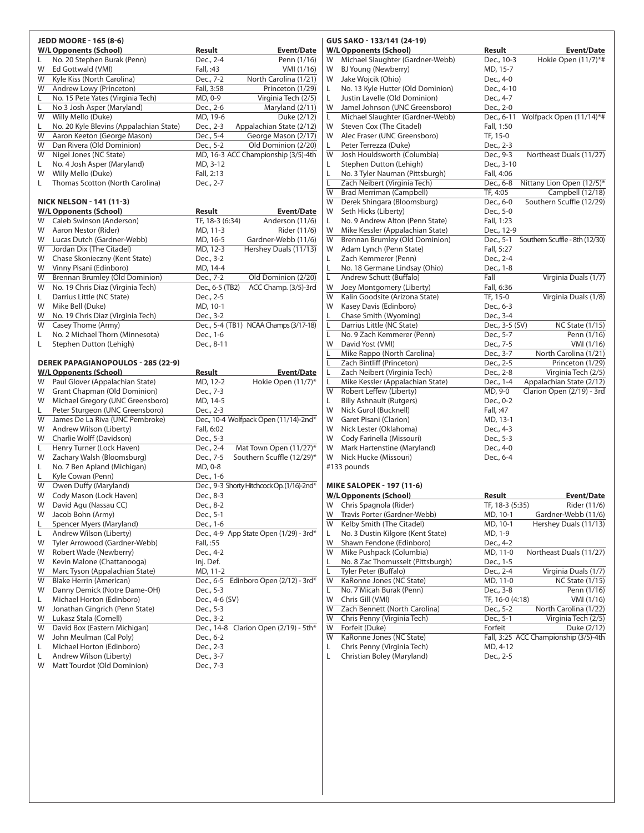|        | <b>JEDD MOORE - 165 (8-6)</b>                          |                        |                                            |
|--------|--------------------------------------------------------|------------------------|--------------------------------------------|
|        | <b>W/L Opponents (School)</b>                          | <b>Result</b>          | Event/Date                                 |
| L      | No. 20 Stephen Burak (Penn)                            | Dec., 2-4              | Penn (1/16)                                |
| W      | Ed Gottwald (VMI)                                      | Fall, :43              | VMI (1/16)                                 |
| W      | Kyle Kiss (North Carolina)                             | Dec., 7-2              | North Carolina (1/21)                      |
| W      | Andrew Lowy (Princeton)                                | Fall, 3:58             | Princeton (1/29)                           |
| Г      | No. 15 Pete Yates (Virginia Tech)                      | MD, 0-9                | Virginia Tech (2/5)                        |
| L      | No 3 Josh Asper (Maryland)                             | Dec., 2-6              | Maryland (2/11)                            |
| W      | Willy Mello (Duke)                                     | MD, 19-6               | Duke (2/12)                                |
| L      | No. 20 Kyle Blevins (Appalachian State)                | Dec., 2-3              | Appalachian State (2/12)                   |
| W      | Aaron Keeton (George Mason)                            | Dec., 5-4              | George Mason (2/17)                        |
| W      | Dan Rivera (Old Dominion)                              | Dec., $5-2$            | Old Dominion (2/20)                        |
| W      | Nigel Jones (NC State)                                 |                        | MD, 16-3 ACC Championship (3/5)-4th        |
| L.     | No. 4 Josh Asper (Maryland)                            | MD, 3-12               |                                            |
| W      | Willy Mello (Duke)                                     | Fall, 2:13             |                                            |
| L      | Thomas Scotton (North Carolina)                        | Dec., 2-7              |                                            |
|        |                                                        |                        |                                            |
|        | <b>NICK NELSON - 141 (11-3)</b>                        |                        |                                            |
|        | <b>W/L Opponents (School)</b>                          | Result                 | Event/Date                                 |
| W      | Caleb Swinson (Anderson)                               | TF, 18-3 (6:34)        | Anderson (11/6)                            |
| W      | Aaron Nestor (Rider)                                   | MD, 11-3               | Rider (11/6)                               |
| W      | Lucas Dutch (Gardner-Webb)                             | MD, 16-5               | Gardner-Webb (11/6)                        |
| W      | Jordan Dix (The Citadel)                               | MD, 12-3               | Hershey Duals (11/13)                      |
| W      | Chase Skonieczny (Kent State)                          | Dec., 3-2              |                                            |
| W      | Vinny Pisani (Edinboro)                                | MD, 14-4               |                                            |
| W      | Brennan Brumley (Old Dominion)                         | Dec., 7-2              | Old Dominion (2/20)                        |
| W      | No. 19 Chris Diaz (Virginia Tech)                      | Dec., 6-5 (TB2)        | ACC Champ. (3/5)-3rd                       |
| L.     | Darrius Little (NC State)                              | Dec., 2-5              |                                            |
| W      | Mike Bell (Duke)                                       | MD, 10-1               |                                            |
| W      | No. 19 Chris Diaz (Virginia Tech)                      | Dec., 3-2              |                                            |
| W      | Casey Thome (Army)                                     |                        | Dec., 5-4 (TB1) NCAA Champs (3/17-18)      |
| L      | No. 2 Michael Thorn (Minnesota)                        | Dec., 1-6              |                                            |
| L      | Stephen Dutton (Lehigh)                                | Dec., 8-11             |                                            |
|        |                                                        |                        |                                            |
|        |                                                        |                        |                                            |
|        | <b>DEREK PAPAGIANOPOULOS - 285 (22-9)</b>              |                        |                                            |
| W      | <b>W/L Opponents (School)</b>                          | <b>Result</b>          | Event/Date                                 |
| W      | Paul Glover (Appalachian State)                        | MD, 12-2               | Hokie Open (11/7)*                         |
| W      | Grant Chapman (Old Dominion)                           | Dec., 7-3              |                                            |
| L      | Michael Gregory (UNC Greensboro)                       | MD, 14-5               |                                            |
| W      | Peter Sturgeon (UNC Greensboro)                        | Dec., 2-3              |                                            |
| W      | James De La Riva (UNC Pembroke)                        |                        | Dec., 10-4 Wolfpack Open (11/14)-2nd*      |
| W      | Andrew Wilson (Liberty)<br>Charlie Wolff (Davidson)    | Fall, 6:02             |                                            |
| Г      | Henry Turner (Lock Haven)                              | Dec., 5-3<br>Dec., 2-4 | Mat Town Open (11/27)*                     |
| W      |                                                        |                        |                                            |
| L      | Zachary Walsh (Bloomsburg)                             | Dec., 7-5              | Southern Scuffle (12/29)*                  |
| L      | No. 7 Ben Apland (Michigan)                            | MD, 0-8<br>Dec., 1-6   |                                            |
| W      | Kyle Cowan (Penn)                                      |                        |                                            |
|        | Owen Duffy (Maryland)                                  |                        | Dec., 9-3 Shorty Hitchcock Op. (1/16)-2nd* |
| W      | Cody Mason (Lock Haven)                                | Dec., 8-3              |                                            |
| W      | David Agu (Nassau CC)                                  | Dec., 8-2              |                                            |
| W      | Jacob Bohn (Army)                                      | Dec., 5-1              |                                            |
| L      | Spencer Myers (Maryland)                               | Dec., 1-6              |                                            |
| L.     | Andrew Wilson (Liberty)                                |                        | Dec., 4-9 App State Open (1/29) - 3rd*     |
| W      | Tyler Arrowood (Gardner-Webb)                          | Fall, :55              |                                            |
| W      | Robert Wade (Newberry)                                 | Dec., 4-2              |                                            |
| W      | Kevin Malone (Chattanooga)                             | Inj. Def.              |                                            |
| W      | Marc Tyson (Appalachian State)                         | MD, 11-2               |                                            |
| W      | Blake Herrin (American)                                |                        | Dec., 6-5 Edinboro Open (2/12) - 3rd*      |
| W      | Danny Demick (Notre Dame-OH)                           | Dec., 5-3              |                                            |
| L      | Michael Horton (Edinboro)                              | Dec., 4-6 (SV)         |                                            |
| W      | Jonathan Gingrich (Penn State)                         | Dec., 5-3              |                                            |
| W      | Lukasz Stala (Cornell)                                 | Dec., 3-2              |                                            |
| W      | David Box (Eastern Michigan)                           |                        | Dec., 14-8 Clarion Open (2/19) - 5th*      |
| W      | John Meulman (Cal Poly)                                | Dec., 6-2              |                                            |
| L      | Michael Horton (Edinboro)                              | Dec., 2-3              |                                            |
| L<br>W | Andrew Wilson (Liberty)<br>Matt Tourdot (Old Dominion) | Dec., 3-7<br>Dec., 7-3 |                                            |

|        | GUS SAKO - 133/141 (24-19)                                      |                                  |                                                       |
|--------|-----------------------------------------------------------------|----------------------------------|-------------------------------------------------------|
|        | <b>W/L Opponents (School)</b>                                   | <b>Result</b>                    | <b>Event/Date</b>                                     |
| W      | Michael Slaughter (Gardner-Webb)                                | Dec., 10-3                       | Hokie Open (11/7)*#                                   |
| W      | BJ Young (Newberry)                                             | MD, 15-7                         |                                                       |
| W      | Jake Wojcik (Ohio)                                              | Dec., 4-0                        |                                                       |
| L      | No. 13 Kyle Hutter (Old Dominion)                               | Dec., 4-10                       |                                                       |
| L<br>W | Justin Lavelle (Old Dominion)<br>Jamel Johnson (UNC Greensboro) | Dec., 4-7<br>Dec., 2-0           |                                                       |
| L      | Michael Slaughter (Gardner-Webb)                                | Dec., 6-11                       | Wolfpack Open (11/14)*#                               |
| W      | Steven Cox (The Citadel)                                        | Fall, 1:50                       |                                                       |
| W      | Alec Fraser (UNC Greensboro)                                    | TF, 15-0                         |                                                       |
| L      | Peter Terrezza (Duke)                                           | Dec., 2-3                        |                                                       |
| W      | Josh Houldsworth (Columbia)                                     | Dec., 9-3                        | Northeast Duals (11/27)                               |
| L      | Stephen Dutton (Lehigh)                                         | Dec., 3-10                       |                                                       |
| L      | No. 3 Tyler Nauman (Pittsburgh)                                 | Fall, 4:06                       |                                                       |
| L      | Zach Neibert (Virginia Tech)                                    | Dec., 6-8                        | Nittany Lion Open (12/5)*                             |
| W      | <b>Brad Merriman (Campbell)</b>                                 | TF, 4:05                         | Campbell (12/18)                                      |
| W      | Derek Shingara (Bloomsburg)                                     | Dec., 6-0                        | Southern Scuffle (12/29)                              |
| W      | Seth Hicks (Liberty)                                            | Dec., 5-0                        |                                                       |
| L      | No. 9 Andrew Alton (Penn State)                                 | Fall, 1:23                       |                                                       |
| W      | Mike Kessler (Appalachian State)                                | Dec., 12-9                       |                                                       |
| W<br>W | Brennan Brumley (Old Dominion)<br>Adam Lynch (Penn State)       | Dec., 5-1<br>Fall, 5:27          | Southern Scuffle - 8th (12/30)                        |
| L      | Zach Kemmerer (Penn)                                            | Dec., 2-4                        |                                                       |
| L      | No. 18 Germane Lindsay (Ohio)                                   | Dec., 1-8                        |                                                       |
| L      | Andrew Schutt (Buffalo)                                         | Fall                             | Virginia Duals (1/7)                                  |
| W      | Joey Montgomery (Liberty)                                       | Fall, 6:36                       |                                                       |
| W      | Kalin Goodsite (Arizona State)                                  | TF, 15-0                         | Virginia Duals (1/8)                                  |
| W      | Kasey Davis (Edinboro)                                          | Dec., 6-3                        |                                                       |
| L      | Chase Smith (Wyoming)                                           | Dec., 3-4                        |                                                       |
| L      | Darrius Little (NC State)                                       | Dec., 3-5 (SV)                   | <b>NC State (1/15)</b>                                |
| L      | No. 9 Zach Kemmerer (Penn)                                      | Dec., 5-7                        | Penn (1/16)                                           |
| W      | David Yost (VMI)                                                | Dec., 7-5                        | VMI (1/16)                                            |
| L      | Mike Rappo (North Carolina)                                     | Dec., 3-7                        | North Carolina (1/21)                                 |
| L      | Zach Bintliff (Princeton)                                       | Dec., 2-5                        | Princeton (1/29)                                      |
| L      | Zach Neibert (Virginia Tech)                                    | Dec., 2-8                        | Virginia Tech (2/5)                                   |
| Г<br>W | Mike Kessler (Appalachian State)<br>Robert Leffew (Liberty)     | Dec., 1-4<br>MD, 9-0             | Appalachian State (2/12)<br>Clarion Open (2/19) - 3rd |
| L      | <b>Billy Ashnault (Rutgers)</b>                                 | Dec., 0-2                        |                                                       |
| W      | Nick Gurol (Bucknell)                                           | Fall, :47                        |                                                       |
| W      | Garet Pisani (Clarion)                                          | MD, 13-1                         |                                                       |
| W      | Nick Lester (Oklahoma)                                          | Dec., 4-3                        |                                                       |
| W      | Cody Farinella (Missouri)                                       | Dec., 5-3                        |                                                       |
| W      | Mark Hartenstine (Maryland)                                     | Dec., 4-0                        |                                                       |
| W      | Nick Hucke (Missouri)                                           | Dec., 6-4                        |                                                       |
|        | #133 pounds                                                     |                                  |                                                       |
|        |                                                                 |                                  |                                                       |
|        | <b>MIKE SALOPEK - 197 (11-6)</b>                                |                                  |                                                       |
|        | <b>W/L Opponents (School)</b><br>Chris Spagnola (Rider)         | <u>Result</u><br>TF, 18-3 (5:35) | <b>Event/Date</b>                                     |
| W<br>W | Travis Porter (Gardner-Webb)                                    | MD, 10-1                         | Rider (11/6)<br>Gardner-Webb (11/6)                   |
| W      | Kelby Smith (The Citadel)                                       | MD, 10-1                         | Hershey Duals (11/13)                                 |
| L      | No. 3 Dustin Kilgore (Kent State)                               | MD, 1-9                          |                                                       |
| W      | Shawn Fendone (Edinboro)                                        | Dec., 4-2                        |                                                       |
| W      | Mike Pushpack (Columbia)                                        | MD, 11-0                         | Northeast Duals (11/27)                               |
| L      | No. 8 Zac Thomusselt (Pittsburgh)                               | Dec., 1-5                        |                                                       |
| Г      | Tyler Peter (Buffalo)                                           | Dec., 2-4                        | Virginia Duals (1/7)                                  |
| W      | KaRonne Jones (NC State)                                        | MD, 11-0                         | <b>NC State (1/15)</b>                                |
| L      | No. 7 Micah Burak (Penn)                                        | Dec., 3-8                        | Penn $(1/16)$                                         |
| W      | Chris Gill (VMI)                                                | TF, 16-0 (4:18)                  | VMI (1/16)                                            |
| W      | Zach Bennett (North Carolina)                                   | Dec., $5-2$                      | North Carolina (1/22)                                 |
| W      | Chris Penny (Virginia Tech)                                     | Dec., 5-1                        | Virginia Tech (2/5)                                   |
| W      | Forfeit (Duke)                                                  | Forfeit                          | Duke (2/12)                                           |
| W<br>L | KaRonne Jones (NC State)<br>Chris Penny (Virginia Tech)         | MD, 4-12                         | Fall, 3:25 ACC Championship (3/5)-4th                 |
| L      | Christian Boley (Maryland)                                      | Dec., 2-5                        |                                                       |
|        |                                                                 |                                  |                                                       |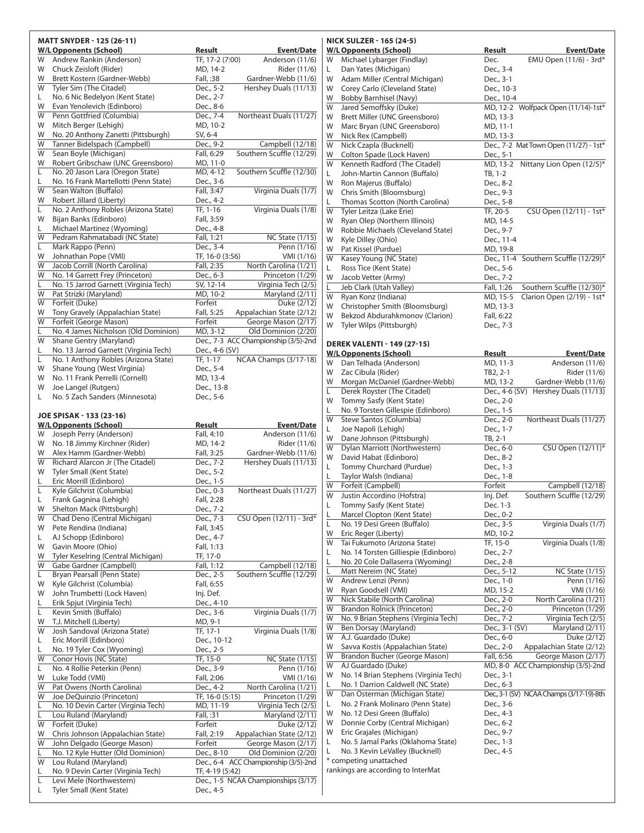|         | MATT SNYDER - 125 (26-11)                                     |                                                     |                           |
|---------|---------------------------------------------------------------|-----------------------------------------------------|---------------------------|
|         | <b>W/L Opponents (School)</b>                                 | Result                                              | <u>Event/Date</u>         |
| W       | Andrew Rankin (Anderson)                                      | TF, 17-2 (7:00)                                     | Anderson (11/6)           |
| W       | Chuck Zeisloft (Rider)                                        | MD, 14-2                                            | Rider (11/6)              |
| W       | Brett Kostern (Gardner-Webb)                                  | Fall, :38                                           | Gardner-Webb (11/6)       |
| W       | Tyler Sim (The Citadel)                                       | Dec., 5-2                                           | Hershey Duals (11/13)     |
| L.      | No. 6 Nic Bedelyon (Kent State)                               | Dec., 2-7                                           |                           |
| W       | Evan Yenolevich (Edinboro)                                    | Dec., 8-6                                           |                           |
| W       | Penn Gottfried (Columbia)                                     | Northeast Duals (11/27)<br>Dec., 7-4                |                           |
| W       | Mitch Berger (Lehigh)                                         | MD, 10-2                                            |                           |
| W       | No. 20 Anthony Zanetti (Pittsburgh)                           | SV, 6-4                                             |                           |
| W       | Tanner Bidelspach (Campbell)                                  | Dec., 9-2                                           | Campbell (12/18)          |
| W       | Sean Boyle (Michigan)                                         | Southern Scuffle (12/29)<br>Fall, 6:29              |                           |
| W       | Robert Gribschaw (UNC Greensboro)                             | MD, 11-0                                            |                           |
| L       | No. 20 Jason Lara (Oregon State)                              | Southern Scuffle (12/30)<br>MD, 4-12                |                           |
| L       | No. 16 Frank Martellotti (Penn State)                         | Dec., 3-6                                           |                           |
| W       | Sean Walton (Buffalo)                                         | Fall, 3:47                                          | Virginia Duals (1/7)      |
| W       | Robert Jillard (Liberty)                                      | Dec., 4-2                                           |                           |
| L       | No. 2 Anthony Robles (Arizona State)                          | TF, 1-16                                            | Virginia Duals (1/8)      |
| W       | Bijan Banks (Edinboro)                                        | Fall, 3:59                                          |                           |
| L       | Michael Martinez (Wyoming)                                    | Dec., 4-8                                           |                           |
| W       | Pedram Rahmatabadi (NC State)                                 | Fall, 1:21                                          | <b>NC State (1/15)</b>    |
| L       | Mark Rappo (Penn)                                             | Dec., 3-4                                           | Penn (1/16)               |
| W       | Johnathan Pope (VMI)                                          | TF, 16-0 (3:56)                                     | VMI (1/16)                |
| W       | Jacob Corrill (North Carolina)                                | Fall, 2:35                                          | North Carolina (1/21)     |
| W       | No. 14 Garrett Frey (Princeton)                               | Dec., 6-3                                           | Princeton (1/29)          |
| L       | No. 15 Jarrod Garnett (Virginia Tech)                         | SV, 12-14                                           | Virginia Tech (2/5)       |
| W       | Pat Strizki (Maryland)                                        | MD, 10-2                                            | Maryland (2/11)           |
| W       | Forfeit (Duke)                                                | Forfeit                                             | Duke (2/12)               |
| W       | Tony Gravely (Appalachian State)                              | Fall, 5:25<br>Appalachian State (2/12)              |                           |
| W       | Forfeit (George Mason)                                        | Forfeit                                             | George Mason (2/17)       |
| L       | No. 4 James Nicholson (Old Dominion)                          | MD, 3-12                                            | Old Dominion (2/20)       |
| W       | Shane Gentry (Maryland)                                       | Dec., 7-3 ACC Championship (3/5)-2nd                |                           |
| L       | No. 13 Jarrod Garnett (Virginia Tech)                         | Dec., 4-6 (SV)                                      |                           |
| L.      | No. 1 Anthony Robles (Arizona State)                          | NCAA Champs (3/17-18)<br>TF, 1-17                   |                           |
| W       | Shane Young (West Virginia)                                   | Dec., 5-4                                           |                           |
| W<br>W  | No. 11 Frank Perrelli (Cornell)                               | MD, 13-4                                            |                           |
|         | Joe Langel (Rutgers)                                          | Dec., 13-8                                          |                           |
| L       | No. 5 Zach Sanders (Minnesota)                                | Dec., 5-6                                           |                           |
|         | JOE SPISAK - 133 (23-16)                                      |                                                     |                           |
|         | <b>W/L Opponents (School)</b>                                 | <b>Result</b>                                       | Event/Date                |
| W       | Joseph Perry (Anderson)                                       | Fall, 4:10                                          | Anderson (11/6)           |
| W       | No. 18 Jimmy Kirchner (Rider)                                 | MD, 14-2                                            | Rider (11/6)              |
| W       | Alex Hamm (Gardner-Webb)                                      | Gardner-Webb (11/6)<br>Fall, 3:25                   |                           |
| W       | Richard Alarcon Jr (The Citadel)                              |                                                     |                           |
|         |                                                               |                                                     |                           |
|         |                                                               | Dec., 7-2                                           | Hershey Duals (11/13)     |
| W       | Tyler Small (Kent State)                                      | Dec., 5-2                                           |                           |
| L       | Eric Morrill (Edinboro)                                       | Dec., 1-5                                           |                           |
| Г       | Kyle Gilchrist (Columbia)                                     | Northeast Duals (11/27)<br>Dec., 0-3                |                           |
| L.      | Frank Gagnina (Lehigh)                                        | Fall, 2:28                                          |                           |
| W       | Shelton Mack (Pittsburgh)                                     | Dec., 7-2                                           |                           |
| W       | Chad Deno (Central Michigan)                                  | CSU Open (12/11) - 3rd*<br>Dec., 7-3                |                           |
| W       | Pete Rendina (Indiana)                                        | Fall, 3:45                                          |                           |
| L       | AJ Schopp (Edinboro)                                          | Dec., 4-7                                           |                           |
| W<br>W  | Gavin Moore (Ohio)                                            | Fall, 1:13                                          |                           |
| W       | Tyler Keselring (Central Michigan)<br>Gabe Gardner (Campbell) | TF, 17-0<br>Fall, 1:12                              | Campbell (12/18)          |
|         |                                                               |                                                     |                           |
| L.<br>W | Bryan Pearsall (Penn State)<br>Kyle Gilchrist (Columbia)      | Southern Scuffle (12/29)<br>Dec., 2-5<br>Fall, 6:55 |                           |
| W       | John Trumbetti (Lock Haven)                                   | Inj. Def.                                           |                           |
| L       |                                                               |                                                     |                           |
| Г       | Erik Spjut (Virginia Tech)                                    | Dec., 4-10                                          | Virginia Duals (1/7)      |
| W       | Kevin Smith (Buffalo)                                         | Dec., 3-6<br>MD, 9-1                                |                           |
| W       | T.J. Mitchell (Liberty)<br>Josh Sandoval (Arizona State)      | TF, 17-1                                            | Virginia Duals (1/8)      |
| L       |                                                               |                                                     |                           |
| L       | Eric Morrill (Edinboro)<br>No. 19 Tyler Cox (Wyoming)         | Dec., 10-12<br>Dec., 2-5                            |                           |
| W       | Conor Hovis (NC State)                                        | TF, 15-0                                            | NC State (1/15)           |
| L.      | No. 4 Rollie Peterkin (Penn)                                  | Dec., 3-9                                           |                           |
| W       | Luke Todd (VMI)                                               | Fall, 2:06                                          | Penn (1/16)<br>VMI (1/16) |
| W       | Pat Owens (North Carolina)                                    | Dec., 4-2                                           | North Carolina (1/21)     |
| W       | Joe DeQuinzio (Princeton)                                     | TF, 16-0 (5:15)                                     | Princeton (1/29)          |
| L       | No. 10 Devin Carter (Virginia Tech)                           | MD, 11-19                                           | Virginia Tech (2/5)       |
| L       | Lou Ruland (Maryland)                                         | Fall, :31                                           | Maryland (2/11)           |
| W       | Forfeit (Duke)                                                | Forfeit                                             | Duke (2/12)               |
| W       | Chris Johnson (Appalachian State)                             | Appalachian State (2/12)<br>Fall, 2:19              |                           |
| W       | John Delgado (George Mason)                                   | Forfeit                                             | George Mason (2/17)       |
| L       | No. 12 Kyle Hutter (Old Dominion)                             | Dec., 8-10                                          | Old Dominion (2/20)       |
| W       | Lou Ruland (Maryland)                                         | Dec., 6-4 ACC Championship (3/5)-2nd                |                           |
| L       | No. 9 Devin Carter (Virginia Tech)                            | TF, 4-19 (5:42)                                     |                           |
| Г<br>Г  | Levi Mele (Northwestern)<br>Tyler Small (Kent State)          | Dec., 1-5 NCAA Championships (3/17)<br>Dec., 4-5    |                           |

#### **nick sulzer - 165 (24-5) W/LOpponents (School) Result Event/Date** W Michael Lybarger (Findlay) Dec. EMU Open (11/6) - 3rd\* L Dan Yates (Michigan) Dec., 3-4 W Adam Miller (Central Michigan) Dec., 3-1<br>W Corey Carlo (Cleveland State) Dec., 10-3 W Corey Carlo (Cleveland State) W Bobby Barnhisel (Navy) Dec., 10-4 W Jared Semoffsky (Duke) MD, 12-2 Wolfpack Open (11/14)-1st\* W Brett Miller (UNC Greensboro) MD, 13-3 W Marc Bryan (UNC Greensboro) MD, 11-1 W Nick Rex (Campbell) MD, 13-3 W Nick Czapla (Bucknell) Dec., 7-2 Mat Town Open (11/27) - 1st<sup>\*</sup> W Colton Spade (Lock Haven) Dec., 5-1 W Kenneth Radford (The Citadel) MD, 13-2 Nittany Lion Open  $(12/5)^*$ L John-Martin Cannon (Buffalo) TB, 1-2 W Ron Majerus (Buffalo) Dec., 8-2 W Chris Smith (Bloomsburg) Dec., 9-3 Thomas Scotton (North Carolina) Dec., 5-8 W Tyler Leitza (Lake Erie) TF, 20-5 CSU Open (12/11) - 1st<sup>\*</sup> W Ryan Olep (Northern Illinois) MD, 14-5 W Robbie Michaels (Cleveland State) Dec., 9-7 W Kyle Dilley (Ohio) Dec., 11-4 W Pat Kissel (Purdue) MD, 19-8 W Kasey Young (NC State) Dec., 11-4 Southern Scuffle (12/29)\* L Ross Tice (Kent State) Dec., 5-6 W Jacob Vetter (Army) Dec., 7-2 Jeb Clark (Utah Valley) Fall, 1:26 Southern Scuffle (12/30)\* W Ryan Konz (Indiana) MD, 15-5 Clarion Open (2/19) - 1st<sup>\*</sup> W Christopher Smith (Bloomsburg) MD, 13-3 W Bekzod Abdurahkmonov (Clarion) Fall, 6:22 W Tyler Wilps (Pittsburgh) Dec., 7-3 **derek valenti - 149 (27-15) W/LOpponents (School) Result Event/Date** W Dan Telhada (Anderson) MD, 11-3 Anderson (11/6) W Zac Cibula (Rider) TB2, 2-1 Rider (11/6) W Morgan McDaniel (Gardner-Webb) MD, 13-2 Gardner-Webb (11/6) Derek Royster (The Citadel) Dec., 4-6 (SV) Hershey Duals (11/13) W Tommy Sasfy (Kent State) Dec., 2-0 No. 9 Torsten Gillespie (Edinboro) Dec., 1-5 W Steve Santos (Columbia) Dec., 2-0 Northeast Duals (11/27) L Joe Napoli (Lehigh) Dec., 1-7 W Dane Johnson (Pittsburgh) TB, 2-1 W Dylan Marriott (Northwestern) Dec., 6-0 CSU Open (12/11)\* W David Habat (Edinboro) Dec., 8-2 L Tommy Churchard (Purdue) Dec., 1-3 Taylor Walsh (Indiana) Dec., 1-8 W Forfeit (Campbell) Forfeit Campbell (12/18) W Justin Accordino (Hofstra) Inj. Def. Southern Scuffle (12/29) L Tommy Sasfy (Kent State) Dec. 1-3 Marcel Clopton (Kent State) Dec., 0-2 L No. 19 Desi Green (Buffalo) Dec., 3-5 Virginia Duals (1/7) W Eric Reger (Liberty) MD, 10-2 W Tai Fukumoto (Arizona State) TF, 15-0 Virginia Duals (1/8) L No. 14 Torsten Gilliespie (Edinboro) Dec., 2-7 No. 20 Cole Dallaserra (Wyoming) Dec., 2-8 Matt Nereim (NC State) Dec., 5-12 NC State (1/15) W Andrew Lenzi (Penn) Dec., 1-0 Penn (1/16) W Ryan Goodsell (VMI) MD, 15-2 VMI (1/16) W Nick Stabile (North Carolina) Dec., 2-0 North Carolina (1/21) W Brandon Rolnick (Princeton) Dec., 2-0 Princeton (1/29) W No. 9 Brian Stephens (Virginia Tech) Dec., 7-2 Virginia Tech (2/5)<br>W Ben Dorsay (Maryland) Dec., 3-1 (SV) Maryland (2/11) W Ben Dorsay (Maryland) Dec., 3-1 (SV) Maryland (2/11) W A.J. Guardado (Duke) Dec., 6-0 Duke (2/12)<br>W Savva Kostis (Appalachian State) Dec., 2-0 Appalachian State (2/12) Savva Kostis (Appalachian State) Dec., 2-0<br>Brandon Bucher (George Mason) Fall, 6:56 W Brandon Bucher (George Mason) Fall, 6:56 George Mason (2/17) W AJ Guardado (Duke) MD, 8-0 ACC Championship (3/5)-2nd<br>W No. 14 Brian Stephens (Virginia Tech) Dec., 3-1 W No. 14 Brian Stephens (Virginia Tech) No. 1 Darrion Caldwell (NC State) Dec., 6-3<br>
Dan Osterman (Michigan State) Dec., 3-1 (S W Dan Osterman (Michigan State) Dec., 3-1 (SV) NCAA Champs (3/17-19)-8th<br>L No. 2 Frank Molinaro (Penn State) Dec., 3-6 L No. 2 Frank Molinaro (Penn State) W No. 12 Desi Green (Buffalo) Dec., 4-3<br>W Donnie Corby (Central Michigan) Dec., 6-2 Donnie Corby (Central Michigan) W Eric Grajales (Michigan) Dec., 9-7 No. 5 Jamal Parks (Oklahoma State) Dec., 1-3 L No. 3 Kevin LeValley (Bucknell) Dec., 4-5 \* competing unattached rankings are according to InterMat